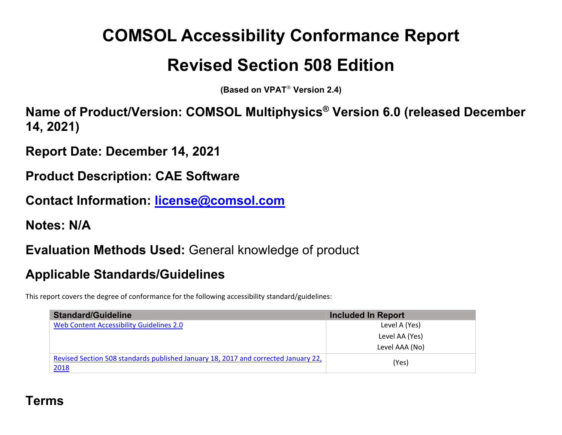# **COMSOL Accessibility Conformance Report**

## **Revised Section 508 Edition**

**(Based on VPAT** ® **Version 2.4)** 

**Name of Product/Version: COMSOL Multiphysics ® Version 6.0 (released December 14, 2021)** 

**Report Date: December 14, 2021** 

**Product Description: CAE Software** 

**Contact Information: license@comsol.com**

**Notes: N/A** 

**Evaluation Methods Used:** General knowledge of product

### **Applicable Standards/Guidelines**

This report covers the degree of conformance for the following accessibility standard/guidelines:

| <b>Standard/Guideline</b>                                                          | <b>Included In Report</b> |
|------------------------------------------------------------------------------------|---------------------------|
| Web Content Accessibility Guidelines 2.0                                           | Level A (Yes)             |
|                                                                                    | Level AA (Yes)            |
|                                                                                    | Level AAA (No)            |
| Revised Section 508 standards published January 18, 2017 and corrected January 22, | (Yes)                     |
| 2018                                                                               |                           |

### **Terms**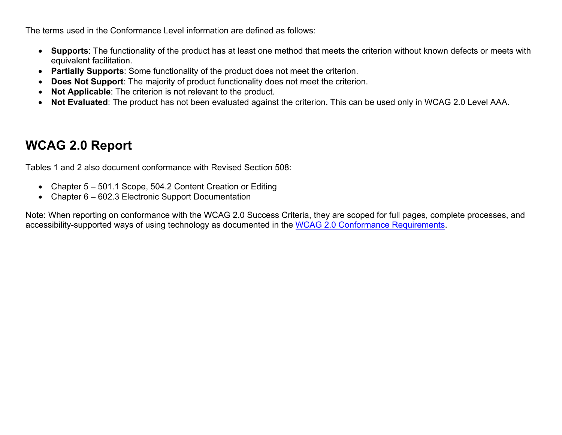The terms used in the Conformance Level information are defined as follows:

- **Supports**: The functionality of the product has at least one method that meets the criterion without known defects or meets with equivalent facilitation.
- **Partially Supports**: Some functionality of the product does not meet the criterion.
- **Does Not Support**: The majority of product functionality does not meet the criterion.
- **Not Applicable**: The criterion is not relevant to the product.
- **Not Evaluated**: The product has not been evaluated against the criterion. This can be used only in WCAG 2.0 Level AAA.

### **WCAG 2.0 Report**

Tables 1 and 2 also document conformance with Revised Section 508:

- Chapter 5 501.1 Scope, 504.2 Content Creation or Editing
- Chapter 6 602.3 Electronic Support Documentation

Note: When reporting on conformance with the WCAG 2.0 Success Criteria, they are scoped for full pages, complete processes, and accessibility-supported ways of using technology as documented in the WCAG 2.0 Conformance Requirements.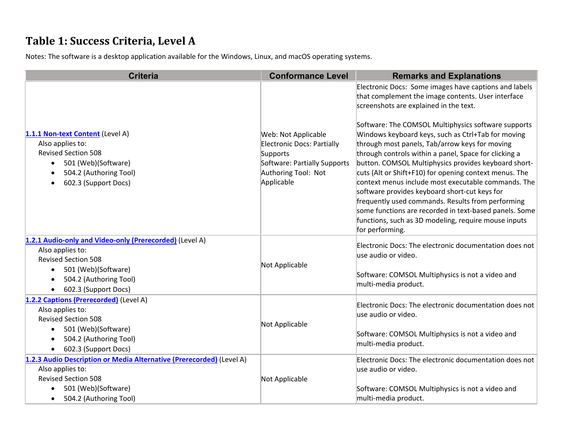#### **Table 1: Success Criteria, Level A**

Notes: The software is <sup>a</sup> desktop application available for the Windows, Linux, and macOS operating systems.

| <b>Criteria</b>                                                                                                                                                                                 | <b>Conformance Level</b>                                                                                                                  | <b>Remarks and Explanations</b>                                                                                                                                                                                                                                                                                                                                                                                                                                                                                                                                                                                                                                                                                                                                                                   |
|-------------------------------------------------------------------------------------------------------------------------------------------------------------------------------------------------|-------------------------------------------------------------------------------------------------------------------------------------------|---------------------------------------------------------------------------------------------------------------------------------------------------------------------------------------------------------------------------------------------------------------------------------------------------------------------------------------------------------------------------------------------------------------------------------------------------------------------------------------------------------------------------------------------------------------------------------------------------------------------------------------------------------------------------------------------------------------------------------------------------------------------------------------------------|
| 1.1.1 Non-text Content (Level A)<br>Also applies to:<br><b>Revised Section 508</b><br>501 (Web)(Software)<br>504.2 (Authoring Tool)<br>602.3 (Support Docs)<br>$\bullet$                        | Web: Not Applicable<br><b>Electronic Docs: Partially</b><br>Supports<br>Software: Partially Supports<br>Authoring Tool: Not<br>Applicable | Electronic Docs: Some images have captions and labels<br>that complement the image contents. User interface<br>screenshots are explained in the text.<br>Software: The COMSOL Multiphysics software supports<br>Windows keyboard keys, such as Ctrl+Tab for moving<br>through most panels, Tab/arrow keys for moving<br>through controls within a panel, Space for clicking a<br>button. COMSOL Multiphysics provides keyboard short-<br>cuts (Alt or Shift+F10) for opening context menus. The<br>context menus include most executable commands. The<br>software provides keyboard short-cut keys for<br>frequently used commands. Results from performing<br>some functions are recorded in text-based panels. Some<br>functions, such as 3D modeling, require mouse inputs<br>for performing. |
| 1.2.1 Audio-only and Video-only (Prerecorded) (Level A)<br>Also applies to:<br><b>Revised Section 508</b><br>501 (Web)(Software)<br>$\bullet$<br>504.2 (Authoring Tool)<br>602.3 (Support Docs) | Not Applicable                                                                                                                            | Electronic Docs: The electronic documentation does not<br>use audio or video.<br>Software: COMSOL Multiphysics is not a video and<br>multi-media product.                                                                                                                                                                                                                                                                                                                                                                                                                                                                                                                                                                                                                                         |
| 1.2.2 Captions (Prerecorded) (Level A)<br>Also applies to:<br><b>Revised Section 508</b><br>501 (Web)(Software)<br>504.2 (Authoring Tool)<br>602.3 (Support Docs)                               | Not Applicable                                                                                                                            | Electronic Docs: The electronic documentation does not<br>use audio or video.<br>Software: COMSOL Multiphysics is not a video and<br>multi-media product.                                                                                                                                                                                                                                                                                                                                                                                                                                                                                                                                                                                                                                         |
| 1.2.3 Audio Description or Media Alternative (Prerecorded) (Level A)<br>Also applies to:<br><b>Revised Section 508</b><br>501 (Web)(Software)<br>504.2 (Authoring Tool)<br>$\bullet$            | Not Applicable                                                                                                                            | Electronic Docs: The electronic documentation does not<br>use audio or video.<br>Software: COMSOL Multiphysics is not a video and<br>multi-media product.                                                                                                                                                                                                                                                                                                                                                                                                                                                                                                                                                                                                                                         |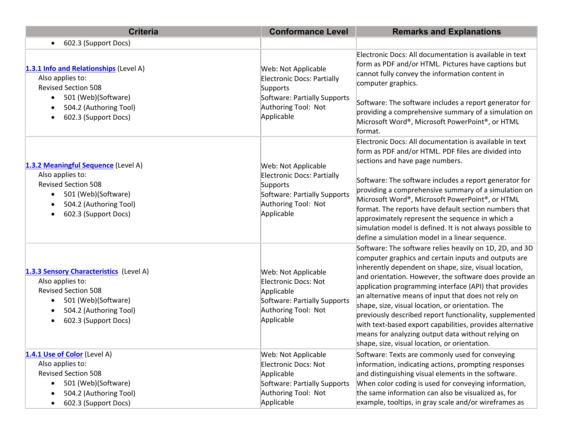| <b>Criteria</b>                                                                                                                                                             | <b>Conformance Level</b>                                                                                                                  | <b>Remarks and Explanations</b>                                                                                                                                                                                                                                                                                                                                                                                                                                                                                                                                                                                                        |
|-----------------------------------------------------------------------------------------------------------------------------------------------------------------------------|-------------------------------------------------------------------------------------------------------------------------------------------|----------------------------------------------------------------------------------------------------------------------------------------------------------------------------------------------------------------------------------------------------------------------------------------------------------------------------------------------------------------------------------------------------------------------------------------------------------------------------------------------------------------------------------------------------------------------------------------------------------------------------------------|
| 602.3 (Support Docs)<br>$\bullet$                                                                                                                                           |                                                                                                                                           |                                                                                                                                                                                                                                                                                                                                                                                                                                                                                                                                                                                                                                        |
| 1.3.1 Info and Relationships (Level A)<br>Also applies to:<br><b>Revised Section 508</b><br>501 (Web)(Software)<br>504.2 (Authoring Tool)<br>602.3 (Support Docs)           | Web: Not Applicable<br><b>Electronic Docs: Partially</b><br>Supports<br>Software: Partially Supports<br>Authoring Tool: Not<br>Applicable | Electronic Docs: All documentation is available in text<br>form as PDF and/or HTML. Pictures have captions but<br>cannot fully convey the information content in<br>computer graphics.<br>Software: The software includes a report generator for<br>providing a comprehensive summary of a simulation on<br>Microsoft Word®, Microsoft PowerPoint®, or HTML<br>format.                                                                                                                                                                                                                                                                 |
| 1.3.2 Meaningful Sequence (Level A)<br>Also applies to:<br><b>Revised Section 508</b><br>501 (Web)(Software)<br>$\bullet$<br>504.2 (Authoring Tool)<br>602.3 (Support Docs) | Web: Not Applicable<br>Electronic Docs: Partially<br>Supports<br>Software: Partially Supports<br>Authoring Tool: Not<br>Applicable        | Electronic Docs: All documentation is available in text<br>form as PDF and/or HTML. PDF files are divided into<br>sections and have page numbers.<br>Software: The software includes a report generator for<br>providing a comprehensive summary of a simulation on<br>Microsoft Word®, Microsoft PowerPoint®, or HTML<br>format. The reports have default section numbers that<br>approximately represent the sequence in which a<br>simulation model is defined. It is not always possible to<br>define a simulation model in a linear sequence.                                                                                     |
| 1.3.3 Sensory Characteristics (Level A)<br>Also applies to:<br><b>Revised Section 508</b><br>501 (Web)(Software)<br>504.2 (Authoring Tool)<br>602.3 (Support Docs)          | Web: Not Applicable<br><b>Electronic Docs: Not</b><br>Applicable<br>Software: Partially Supports<br>Authoring Tool: Not<br>Applicable     | Software: The software relies heavily on 1D, 2D, and 3D<br>computer graphics and certain inputs and outputs are<br>inherently dependent on shape, size, visual location,<br>and orientation. However, the software does provide an<br>application programming interface (API) that provides<br>an alternative means of input that does not rely on<br>shape, size, visual location, or orientation. The<br>previously described report functionality, supplemented<br>with text-based export capabilities, provides alternative<br>means for analyzing output data without relying on<br>shape, size, visual location, or orientation. |
| 1.4.1 Use of Color (Level A)<br>Also applies to:<br><b>Revised Section 508</b><br>501 (Web)(Software)<br>504.2 (Authoring Tool)<br>602.3 (Support Docs)                     | Web: Not Applicable<br>Electronic Docs: Not<br>Applicable<br>Software: Partially Supports<br>Authoring Tool: Not<br>Applicable            | Software: Texts are commonly used for conveying<br>information, indicating actions, prompting responses<br>and distinguishing visual elements in the software.<br>When color coding is used for conveying information,<br>the same information can also be visualized as, for<br>example, tooltips, in gray scale and/or wireframes as                                                                                                                                                                                                                                                                                                 |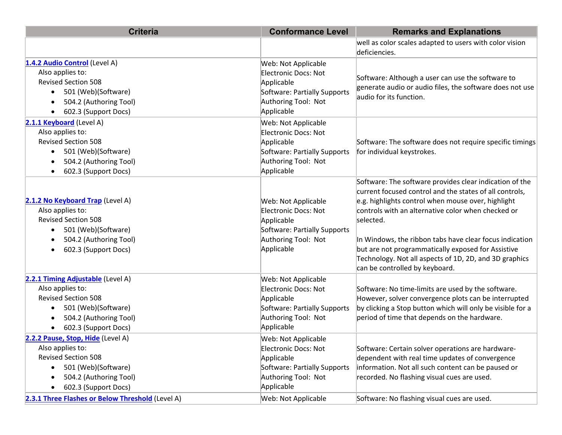| <b>Criteria</b>                                                                                                                                                                                                               | <b>Conformance Level</b>                                                                                                                              | <b>Remarks and Explanations</b>                                                                                                                                                                                                                                                                                                                                                                                                                          |
|-------------------------------------------------------------------------------------------------------------------------------------------------------------------------------------------------------------------------------|-------------------------------------------------------------------------------------------------------------------------------------------------------|----------------------------------------------------------------------------------------------------------------------------------------------------------------------------------------------------------------------------------------------------------------------------------------------------------------------------------------------------------------------------------------------------------------------------------------------------------|
|                                                                                                                                                                                                                               |                                                                                                                                                       | well as color scales adapted to users with color vision<br>deficiencies.                                                                                                                                                                                                                                                                                                                                                                                 |
| 1.4.2 Audio Control (Level A)<br>Also applies to:<br><b>Revised Section 508</b><br>501 (Web)(Software)<br>$\bullet$<br>504.2 (Authoring Tool)<br>602.3 (Support Docs)                                                         | Web: Not Applicable<br>Electronic Docs: Not<br>Applicable<br>Software: Partially Supports<br>Authoring Tool: Not<br>Applicable                        | Software: Although a user can use the software to<br>generate audio or audio files, the software does not use<br>audio for its function.                                                                                                                                                                                                                                                                                                                 |
| 2.1.1 Keyboard (Level A)<br>Also applies to:<br><b>Revised Section 508</b><br>501 (Web)(Software)<br>$\bullet$<br>504.2 (Authoring Tool)<br>602.3 (Support Docs)<br>$\bullet$                                                 | Web: Not Applicable<br>Electronic Docs: Not<br>Applicable<br>Software: Partially Supports<br>Authoring Tool: Not<br>Applicable                        | Software: The software does not require specific timings<br>for individual keystrokes.                                                                                                                                                                                                                                                                                                                                                                   |
| 2.1.2 No Keyboard Trap (Level A)<br>Also applies to:<br><b>Revised Section 508</b><br>501 (Web)(Software)<br>$\bullet$<br>504.2 (Authoring Tool)<br>602.3 (Support Docs)                                                      | Web: Not Applicable<br>Electronic Docs: Not<br>Applicable<br>Software: Partially Supports<br>Authoring Tool: Not<br>Applicable                        | Software: The software provides clear indication of the<br>current focused control and the states of all controls,<br>e.g. highlights control when mouse over, highlight<br>controls with an alternative color when checked or<br>selected.<br>In Windows, the ribbon tabs have clear focus indication<br>but are not programmatically exposed for Assistive<br>Technology. Not all aspects of 1D, 2D, and 3D graphics<br>can be controlled by keyboard. |
| 2.2.1 Timing Adjustable (Level A)<br>Also applies to:<br><b>Revised Section 508</b><br>501 (Web)(Software)<br>504.2 (Authoring Tool)<br>602.3 (Support Docs)                                                                  | Web: Not Applicable<br>Electronic Docs: Not<br>Applicable<br>Software: Partially Supports<br>Authoring Tool: Not<br>Applicable                        | Software: No time-limits are used by the software.<br>However, solver convergence plots can be interrupted<br>by clicking a Stop button which will only be visible for a<br>period of time that depends on the hardware.                                                                                                                                                                                                                                 |
| 2.2.2 Pause, Stop, Hide (Level A)<br>Also applies to:<br><b>Revised Section 508</b><br>501 (Web)(Software)<br>504.2 (Authoring Tool)<br>602.3 (Support Docs)<br>$\bullet$<br>2.3.1 Three Flashes or Below Threshold (Level A) | Web: Not Applicable<br>Electronic Docs: Not<br>Applicable<br>Software: Partially Supports<br>Authoring Tool: Not<br>Applicable<br>Web: Not Applicable | Software: Certain solver operations are hardware-<br>dependent with real time updates of convergence<br>information. Not all such content can be paused or<br>recorded. No flashing visual cues are used.<br>Software: No flashing visual cues are used.                                                                                                                                                                                                 |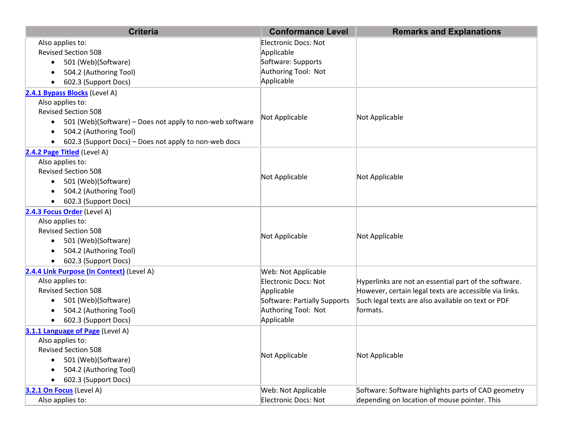| <b>Criteria</b>                                                       | <b>Conformance Level</b>     | <b>Remarks and Explanations</b>                        |
|-----------------------------------------------------------------------|------------------------------|--------------------------------------------------------|
| Also applies to:                                                      | Electronic Docs: Not         |                                                        |
| <b>Revised Section 508</b>                                            | Applicable                   |                                                        |
| 501 (Web)(Software)<br>$\bullet$                                      | Software: Supports           |                                                        |
| 504.2 (Authoring Tool)                                                | Authoring Tool: Not          |                                                        |
| 602.3 (Support Docs)                                                  | Applicable                   |                                                        |
| 2.4.1 Bypass Blocks (Level A)                                         |                              |                                                        |
| Also applies to:                                                      |                              |                                                        |
| <b>Revised Section 508</b>                                            | Not Applicable               | Not Applicable                                         |
| 501 (Web)(Software) – Does not apply to non-web software<br>$\bullet$ |                              |                                                        |
| 504.2 (Authoring Tool)                                                |                              |                                                        |
| 602.3 (Support Docs) - Does not apply to non-web docs                 |                              |                                                        |
| 2.4.2 Page Titled (Level A)                                           |                              |                                                        |
| Also applies to:                                                      |                              |                                                        |
| <b>Revised Section 508</b>                                            | Not Applicable               | Not Applicable                                         |
| 501 (Web)(Software)<br>$\bullet$                                      |                              |                                                        |
| 504.2 (Authoring Tool)                                                |                              |                                                        |
| 602.3 (Support Docs)                                                  |                              |                                                        |
| 2.4.3 Focus Order (Level A)                                           |                              |                                                        |
| Also applies to:                                                      |                              |                                                        |
| <b>Revised Section 508</b>                                            | Not Applicable               | Not Applicable                                         |
| 501 (Web)(Software)<br>$\bullet$                                      |                              |                                                        |
| 504.2 (Authoring Tool)                                                |                              |                                                        |
| 602.3 (Support Docs)                                                  |                              |                                                        |
| 2.4.4 Link Purpose (In Context) (Level A)                             | Web: Not Applicable          |                                                        |
| Also applies to:                                                      | Electronic Docs: Not         | Hyperlinks are not an essential part of the software.  |
| <b>Revised Section 508</b>                                            | Applicable                   | However, certain legal texts are accessible via links. |
| 501 (Web)(Software)<br>$\bullet$                                      | Software: Partially Supports | Such legal texts are also available on text or PDF     |
| 504.2 (Authoring Tool)                                                | Authoring Tool: Not          | formats.                                               |
| 602.3 (Support Docs)                                                  | Applicable                   |                                                        |
| 3.1.1 Language of Page (Level A)                                      |                              |                                                        |
| Also applies to:                                                      |                              |                                                        |
| <b>Revised Section 508</b>                                            | Not Applicable               | Not Applicable                                         |
| 501 (Web)(Software)<br>$\bullet$                                      |                              |                                                        |
| 504.2 (Authoring Tool)                                                |                              |                                                        |
| 602.3 (Support Docs)                                                  |                              |                                                        |
| 3.2.1 On Focus (Level A)                                              | Web: Not Applicable          | Software: Software highlights parts of CAD geometry    |
| Also applies to:                                                      | Electronic Docs: Not         | depending on location of mouse pointer. This           |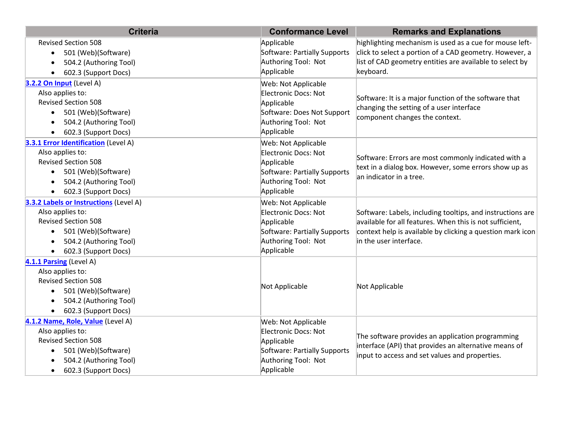| <b>Criteria</b>                                                                                                                                                                        | <b>Conformance Level</b>                                                                                                              | <b>Remarks and Explanations</b>                                                                                                                                                                                |
|----------------------------------------------------------------------------------------------------------------------------------------------------------------------------------------|---------------------------------------------------------------------------------------------------------------------------------------|----------------------------------------------------------------------------------------------------------------------------------------------------------------------------------------------------------------|
| <b>Revised Section 508</b><br>501 (Web)(Software)<br>$\bullet$<br>504.2 (Authoring Tool)<br>602.3 (Support Docs)                                                                       | Applicable<br>Software: Partially Supports<br>Authoring Tool: Not<br>Applicable                                                       | highlighting mechanism is used as a cue for mouse left-<br>click to select a portion of a CAD geometry. However, a<br>list of CAD geometry entities are available to select by<br>keyboard.                    |
| 3.2.2 On Input (Level A)<br>Also applies to:<br><b>Revised Section 508</b><br>501 (Web)(Software)<br>$\bullet$<br>504.2 (Authoring Tool)<br>602.3 (Support Docs)                       | Web: Not Applicable<br>Electronic Docs: Not<br>Applicable<br>Software: Does Not Support<br>Authoring Tool: Not<br>Applicable          | Software: It is a major function of the software that<br>changing the setting of a user interface<br>component changes the context.                                                                            |
| 3.3.1 Error Identification (Level A)<br>Also applies to:<br><b>Revised Section 508</b><br>501 (Web)(Software)<br>$\bullet$<br>504.2 (Authoring Tool)<br>602.3 (Support Docs)           | Web: Not Applicable<br><b>Electronic Docs: Not</b><br>Applicable<br>Software: Partially Supports<br>Authoring Tool: Not<br>Applicable | Software: Errors are most commonly indicated with a<br>text in a dialog box. However, some errors show up as<br>an indicator in a tree.                                                                        |
| 3.3.2 Labels or Instructions (Level A)<br>Also applies to:<br><b>Revised Section 508</b><br>501 (Web)(Software)<br>504.2 (Authoring Tool)<br>602.3 (Support Docs)<br>$\bullet$         | Web: Not Applicable<br>Electronic Docs: Not<br>Applicable<br>Software: Partially Supports<br>Authoring Tool: Not<br>Applicable        | Software: Labels, including tooltips, and instructions are<br>available for all features. When this is not sufficient,<br>context help is available by clicking a question mark icon<br>in the user interface. |
| 4.1.1 Parsing (Level A)<br>Also applies to:<br><b>Revised Section 508</b><br>501 (Web)(Software)<br>$\bullet$<br>504.2 (Authoring Tool)<br>602.3 (Support Docs)                        | Not Applicable                                                                                                                        | Not Applicable                                                                                                                                                                                                 |
| 4.1.2 Name, Role, Value (Level A)<br>Also applies to:<br><b>Revised Section 508</b><br>501 (Web)(Software)<br>$\bullet$<br>504.2 (Authoring Tool)<br>602.3 (Support Docs)<br>$\bullet$ | Web: Not Applicable<br><b>Electronic Docs: Not</b><br>Applicable<br>Software: Partially Supports<br>Authoring Tool: Not<br>Applicable | The software provides an application programming<br>interface (API) that provides an alternative means of<br>input to access and set values and properties.                                                    |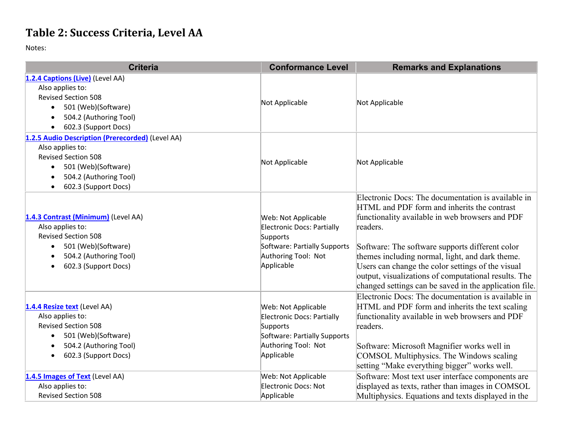#### **Table 2: Success Criteria, Level AA**

Notes:

| <b>Criteria</b>                                  | <b>Conformance Level</b>     | <b>Remarks and Explanations</b>                        |
|--------------------------------------------------|------------------------------|--------------------------------------------------------|
| 1.2.4 Captions (Live) (Level AA)                 |                              |                                                        |
| Also applies to:                                 |                              |                                                        |
| <b>Revised Section 508</b>                       | Not Applicable               | Not Applicable                                         |
| 501 (Web)(Software)<br>$\bullet$                 |                              |                                                        |
| 504.2 (Authoring Tool)<br>$\bullet$              |                              |                                                        |
| 602.3 (Support Docs)<br>$\bullet$                |                              |                                                        |
| 1.2.5 Audio Description (Prerecorded) (Level AA) |                              |                                                        |
| Also applies to:                                 |                              |                                                        |
| <b>Revised Section 508</b>                       | Not Applicable               | Not Applicable                                         |
| 501 (Web)(Software)<br>$\bullet$                 |                              |                                                        |
| 504.2 (Authoring Tool)<br>$\bullet$              |                              |                                                        |
| 602.3 (Support Docs)                             |                              |                                                        |
|                                                  |                              | Electronic Docs: The documentation is available in     |
|                                                  |                              | HTML and PDF form and inherits the contrast            |
| 1.4.3 Contrast (Minimum) (Level AA)              | Web: Not Applicable          | functionality available in web browsers and PDF        |
| Also applies to:                                 | Electronic Docs: Partially   | readers.                                               |
| <b>Revised Section 508</b>                       | Supports                     |                                                        |
| 501 (Web)(Software)<br>$\bullet$                 | Software: Partially Supports | Software: The software supports different color        |
| 504.2 (Authoring Tool)                           | Authoring Tool: Not          | themes including normal, light, and dark theme.        |
| 602.3 (Support Docs)<br>$\bullet$                | Applicable                   | Users can change the color settings of the visual      |
|                                                  |                              | output, visualizations of computational results. The   |
|                                                  |                              | changed settings can be saved in the application file. |
|                                                  |                              | Electronic Docs: The documentation is available in     |
| 1.4.4 Resize text (Level AA)                     | Web: Not Applicable          | HTML and PDF form and inherits the text scaling        |
| Also applies to:                                 | Electronic Docs: Partially   | functionality available in web browsers and PDF        |
| <b>Revised Section 508</b>                       | Supports                     | readers.                                               |
| 501 (Web)(Software)<br>$\bullet$                 | Software: Partially Supports |                                                        |
| 504.2 (Authoring Tool)                           | Authoring Tool: Not          | Software: Microsoft Magnifier works well in            |
| 602.3 (Support Docs)                             | Applicable                   | COMSOL Multiphysics. The Windows scaling               |
|                                                  |                              | setting "Make everything bigger" works well.           |
| 1.4.5 Images of Text (Level AA)                  | Web: Not Applicable          | Software: Most text user interface components are      |
| Also applies to:                                 | Electronic Docs: Not         | displayed as texts, rather than images in COMSOL       |
| <b>Revised Section 508</b>                       | Applicable                   | Multiphysics. Equations and texts displayed in the     |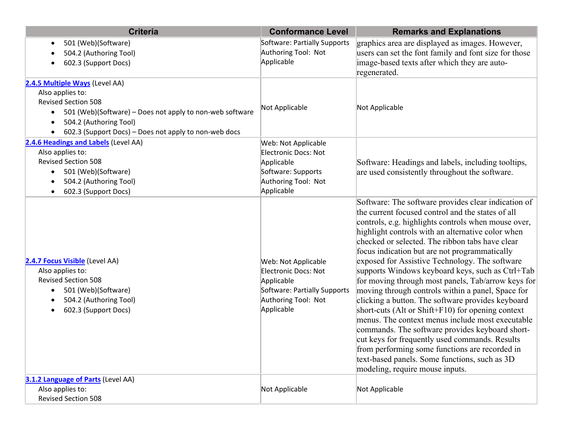| <b>Criteria</b>                                                                                                                                                                                                                              | <b>Conformance Level</b>                                                                                                       | <b>Remarks and Explanations</b>                                                                                                                                                                                                                                                                                                                                                                                                                                                                                                                                                                                                                                                                                                                                                                                                                                                                                                                        |
|----------------------------------------------------------------------------------------------------------------------------------------------------------------------------------------------------------------------------------------------|--------------------------------------------------------------------------------------------------------------------------------|--------------------------------------------------------------------------------------------------------------------------------------------------------------------------------------------------------------------------------------------------------------------------------------------------------------------------------------------------------------------------------------------------------------------------------------------------------------------------------------------------------------------------------------------------------------------------------------------------------------------------------------------------------------------------------------------------------------------------------------------------------------------------------------------------------------------------------------------------------------------------------------------------------------------------------------------------------|
| 501 (Web)(Software)<br>$\bullet$<br>504.2 (Authoring Tool)<br>602.3 (Support Docs)                                                                                                                                                           | Software: Partially Supports<br>Authoring Tool: Not<br>Applicable                                                              | graphics area are displayed as images. However,<br>users can set the font family and font size for those<br>image-based texts after which they are auto-<br>regenerated.                                                                                                                                                                                                                                                                                                                                                                                                                                                                                                                                                                                                                                                                                                                                                                               |
| 2.4.5 Multiple Ways (Level AA)<br>Also applies to:<br><b>Revised Section 508</b><br>501 (Web)(Software) - Does not apply to non-web software<br>$\bullet$<br>504.2 (Authoring Tool)<br>602.3 (Support Docs) - Does not apply to non-web docs | Not Applicable                                                                                                                 | Not Applicable                                                                                                                                                                                                                                                                                                                                                                                                                                                                                                                                                                                                                                                                                                                                                                                                                                                                                                                                         |
| 2.4.6 Headings and Labels (Level AA)<br>Also applies to:<br><b>Revised Section 508</b><br>501 (Web)(Software)<br>$\bullet$<br>504.2 (Authoring Tool)<br>602.3 (Support Docs)                                                                 | Web: Not Applicable<br><b>Electronic Docs: Not</b><br>Applicable<br>Software: Supports<br>Authoring Tool: Not<br>Applicable    | Software: Headings and labels, including tooltips,<br>are used consistently throughout the software.                                                                                                                                                                                                                                                                                                                                                                                                                                                                                                                                                                                                                                                                                                                                                                                                                                                   |
| 2.4.7 Focus Visible (Level AA)<br>Also applies to:<br><b>Revised Section 508</b><br>501 (Web)(Software)<br>$\bullet$<br>504.2 (Authoring Tool)<br>602.3 (Support Docs)                                                                       | Web: Not Applicable<br>Electronic Docs: Not<br>Applicable<br>Software: Partially Supports<br>Authoring Tool: Not<br>Applicable | Software: The software provides clear indication of<br>the current focused control and the states of all<br>controls, e.g. highlights controls when mouse over,<br>highlight controls with an alternative color when<br>checked or selected. The ribbon tabs have clear<br>focus indication but are not programmatically<br>exposed for Assistive Technology. The software<br>supports Windows keyboard keys, such as Ctrl+Tab<br>for moving through most panels, Tab/arrow keys for<br>moving through controls within a panel, Space for<br>clicking a button. The software provides keyboard<br>short-cuts (Alt or Shift+ $F10$ ) for opening context<br>menus. The context menus include most executable<br>commands. The software provides keyboard short-<br>cut keys for frequently used commands. Results<br>from performing some functions are recorded in<br>text-based panels. Some functions, such as 3D<br>modeling, require mouse inputs. |
| 3.1.2 Language of Parts (Level AA)<br>Also applies to:<br><b>Revised Section 508</b>                                                                                                                                                         | Not Applicable                                                                                                                 | Not Applicable                                                                                                                                                                                                                                                                                                                                                                                                                                                                                                                                                                                                                                                                                                                                                                                                                                                                                                                                         |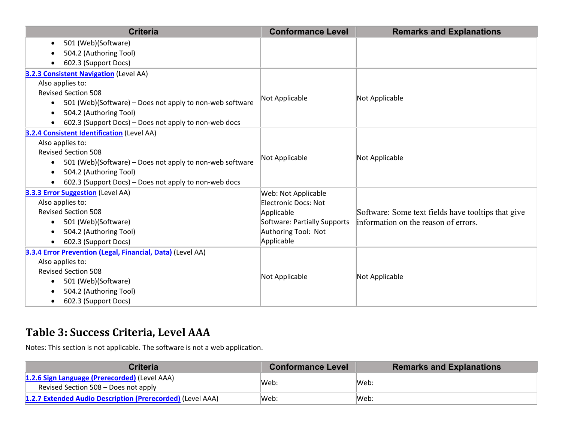| <b>Criteria</b>                                                       | <b>Conformance Level</b>     | <b>Remarks and Explanations</b>                    |
|-----------------------------------------------------------------------|------------------------------|----------------------------------------------------|
| 501 (Web)(Software)                                                   |                              |                                                    |
| 504.2 (Authoring Tool)                                                |                              |                                                    |
| 602.3 (Support Docs)                                                  |                              |                                                    |
| <b>3.2.3 Consistent Navigation (Level AA)</b>                         |                              |                                                    |
| Also applies to:                                                      |                              |                                                    |
| <b>Revised Section 508</b>                                            | Not Applicable               | Not Applicable                                     |
| 501 (Web)(Software) - Does not apply to non-web software<br>$\bullet$ |                              |                                                    |
| 504.2 (Authoring Tool)                                                |                              |                                                    |
| 602.3 (Support Docs) - Does not apply to non-web docs                 |                              |                                                    |
| 3.2.4 Consistent Identification (Level AA)                            |                              |                                                    |
| Also applies to:                                                      |                              |                                                    |
| <b>Revised Section 508</b>                                            | Not Applicable               | Not Applicable                                     |
| 501 (Web)(Software) - Does not apply to non-web software<br>$\bullet$ |                              |                                                    |
| 504.2 (Authoring Tool)                                                |                              |                                                    |
| 602.3 (Support Docs) – Does not apply to non-web docs                 |                              |                                                    |
| <b>3.3.3 Error Suggestion</b> (Level AA)                              | Web: Not Applicable          |                                                    |
| Also applies to:                                                      | Electronic Docs: Not         |                                                    |
| <b>Revised Section 508</b>                                            | Applicable                   | Software: Some text fields have tooltips that give |
| 501 (Web)(Software)<br>$\bullet$                                      | Software: Partially Supports | information on the reason of errors.               |
| 504.2 (Authoring Tool)                                                | Authoring Tool: Not          |                                                    |
| 602.3 (Support Docs)                                                  | Applicable                   |                                                    |
| 3.3.4 Error Prevention (Legal, Financial, Data) (Level AA)            |                              |                                                    |
| Also applies to:                                                      |                              |                                                    |
| <b>Revised Section 508</b>                                            | Not Applicable               | Not Applicable                                     |
| 501 (Web)(Software)<br>$\bullet$                                      |                              |                                                    |
| 504.2 (Authoring Tool)                                                |                              |                                                    |
| 602.3 (Support Docs)                                                  |                              |                                                    |

#### **Table 3: Success Criteria, Level AAA**

Notes: This section is not applicable. The software is not <sup>a</sup> web application.

| <b>Criteria</b>                                                                       | <b>Conformance Level</b> | <b>Remarks and Explanations</b> |
|---------------------------------------------------------------------------------------|--------------------------|---------------------------------|
| 1.2.6 Sign Language (Prerecorded) (Level AAA)<br>Revised Section 508 - Does not apply | lWeb:                    | Web:                            |
| 1.2.7 Extended Audio Description (Prerecorded) (Level AAA)                            | lWeb:                    | Web:                            |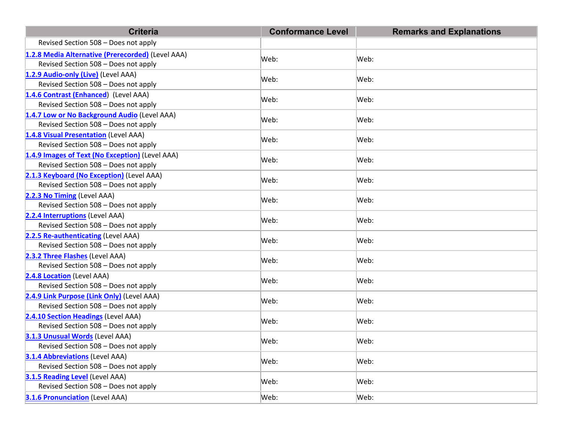| <b>Criteria</b>                                                         | <b>Conformance Level</b> | <b>Remarks and Explanations</b> |
|-------------------------------------------------------------------------|--------------------------|---------------------------------|
| Revised Section 508 - Does not apply                                    |                          |                                 |
| 1.2.8 Media Alternative (Prerecorded) (Level AAA)                       |                          | Web:                            |
| Revised Section 508 - Does not apply                                    | Web:                     |                                 |
| 1.2.9 Audio-only (Live) (Level AAA)                                     |                          |                                 |
| Revised Section 508 - Does not apply                                    | Web:                     | Web:                            |
| 1.4.6 Contrast (Enhanced) (Level AAA)                                   | Web:                     | Web:                            |
| Revised Section 508 - Does not apply                                    |                          |                                 |
| 1.4.7 Low or No Background Audio (Level AAA)                            | Web:                     | Web:                            |
| Revised Section 508 - Does not apply                                    |                          |                                 |
| 1.4.8 Visual Presentation (Level AAA)                                   | Web:                     | Web:                            |
| Revised Section 508 - Does not apply                                    |                          |                                 |
| 1.4.9 Images of Text (No Exception) (Level AAA)                         | Web:                     | Web:                            |
| Revised Section 508 - Does not apply                                    |                          |                                 |
| 2.1.3 Keyboard (No Exception) (Level AAA)                               | Web:                     | Web:                            |
| Revised Section 508 - Does not apply                                    |                          |                                 |
| 2.2.3 No Timing (Level AAA)                                             | Web:                     | Web:                            |
| Revised Section 508 - Does not apply                                    |                          |                                 |
| 2.2.4 Interruptions (Level AAA)                                         | Web:                     | Web:                            |
| Revised Section 508 - Does not apply                                    |                          |                                 |
| 2.2.5 Re-authenticating (Level AAA)                                     | Web:                     | Web:                            |
| Revised Section 508 - Does not apply                                    |                          |                                 |
| 2.3.2 Three Flashes (Level AAA)<br>Revised Section 508 - Does not apply | Web:                     | Web:                            |
|                                                                         |                          |                                 |
| 2.4.8 Location (Level AAA)<br>Revised Section 508 - Does not apply      | Web:                     | Web:                            |
| 2.4.9 Link Purpose (Link Only) (Level AAA)                              |                          |                                 |
| Revised Section 508 - Does not apply                                    | Web:                     | Web:                            |
| 2.4.10 Section Headings (Level AAA)                                     |                          |                                 |
| Revised Section 508 - Does not apply                                    | Web:                     | Web:                            |
| 3.1.3 Unusual Words (Level AAA)                                         |                          | Web:                            |
| Revised Section 508 - Does not apply                                    | Web:                     |                                 |
| <b>3.1.4 Abbreviations (Level AAA)</b>                                  |                          |                                 |
| Revised Section 508 - Does not apply                                    | Web:                     | Web:                            |
| 3.1.5 Reading Level (Level AAA)                                         |                          |                                 |
| Revised Section 508 - Does not apply                                    | Web:                     | Web:                            |
| 3.1.6 Pronunciation (Level AAA)                                         | Web:                     | Web:                            |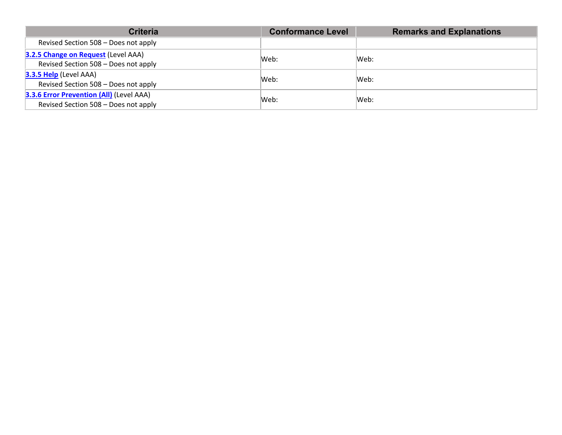| <b>Criteria</b>                                                                  | <b>Conformance Level</b> | <b>Remarks and Explanations</b> |
|----------------------------------------------------------------------------------|--------------------------|---------------------------------|
| Revised Section 508 - Does not apply                                             |                          |                                 |
| 3.2.5 Change on Request (Level AAA)<br>Revised Section 508 - Does not apply      | Web:                     | Web:                            |
| <b>3.3.5 Help</b> (Level AAA)<br>Revised Section 508 - Does not apply            | Web:                     | Web:                            |
| 3.3.6 Error Prevention (All) (Level AAA)<br>Revised Section 508 - Does not apply | Web:                     | Web:                            |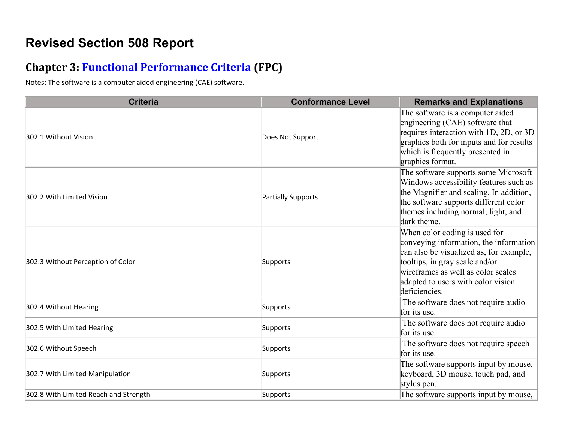### **Revised Section 508 Report**

#### **Chapter 3: Functional Performance Criteria (FPC)**

Notes: The software is <sup>a</sup> computer aided engineering (CAE) software.

| <b>Criteria</b>                       | <b>Conformance Level</b> | <b>Remarks and Explanations</b>                                                                                                                                                                                                                   |
|---------------------------------------|--------------------------|---------------------------------------------------------------------------------------------------------------------------------------------------------------------------------------------------------------------------------------------------|
| 302.1 Without Vision                  | Does Not Support         | The software is a computer aided<br>engineering (CAE) software that<br>requires interaction with 1D, 2D, or 3D<br>graphics both for inputs and for results<br>which is frequently presented in<br>graphics format.                                |
| 302.2 With Limited Vision             | Partially Supports       | The software supports some Microsoft<br>Windows accessibility features such as<br>the Magnifier and scaling. In addition,<br>the software supports different color<br>themes including normal, light, and<br>dark theme.                          |
| 302.3 Without Perception of Color     | Supports                 | When color coding is used for<br>conveying information, the information<br>can also be visualized as, for example,<br>tooltips, in gray scale and/or<br>wireframes as well as color scales<br>adapted to users with color vision<br>deficiencies. |
| 302.4 Without Hearing                 | Supports                 | The software does not require audio<br>for its use.                                                                                                                                                                                               |
| 302.5 With Limited Hearing            | Supports                 | The software does not require audio<br>for its use.                                                                                                                                                                                               |
| 302.6 Without Speech                  | Supports                 | The software does not require speech<br>for its use.                                                                                                                                                                                              |
| 302.7 With Limited Manipulation       | Supports                 | The software supports input by mouse,<br>keyboard, 3D mouse, touch pad, and<br>stylus pen.                                                                                                                                                        |
| 302.8 With Limited Reach and Strength | Supports                 | The software supports input by mouse,                                                                                                                                                                                                             |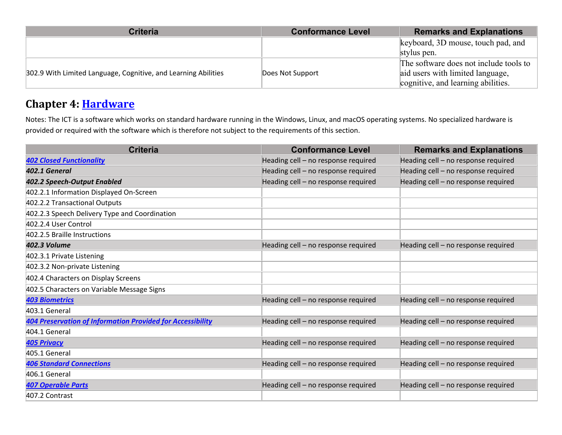| <b>Criteria</b>                                                | <b>Conformance Level</b> | <b>Remarks and Explanations</b>        |
|----------------------------------------------------------------|--------------------------|----------------------------------------|
|                                                                |                          | keyboard, 3D mouse, touch pad, and     |
|                                                                |                          | stylus pen.                            |
|                                                                |                          | The software does not include tools to |
| 302.9 With Limited Language, Cognitive, and Learning Abilities | Does Not Support         | aid users with limited language,       |
|                                                                |                          | cognitive, and learning abilities.     |

#### **Chapter 4: Hardware**

Notes: The ICT is <sup>a</sup> software which works on standard hardware running in the Windows, Linux, and macOS operating systems. No specialized hardware is provided or required with the software which is therefore not subject to the requirements of this section.

| <b>Criteria</b>                                                   | <b>Conformance Level</b>            | <b>Remarks and Explanations</b>     |
|-------------------------------------------------------------------|-------------------------------------|-------------------------------------|
| <b>402 Closed Functionality</b>                                   | Heading cell - no response required | Heading cell - no response required |
| 402.1 General                                                     | Heading cell - no response required | Heading cell - no response required |
| 402.2 Speech-Output Enabled                                       | Heading cell - no response required | Heading cell - no response required |
| 402.2.1 Information Displayed On-Screen                           |                                     |                                     |
| 402.2.2 Transactional Outputs                                     |                                     |                                     |
| 402.2.3 Speech Delivery Type and Coordination                     |                                     |                                     |
| 402.2.4 User Control                                              |                                     |                                     |
| 402.2.5 Braille Instructions                                      |                                     |                                     |
| 402.3 Volume                                                      | Heading cell - no response required | Heading cell - no response required |
| 402.3.1 Private Listening                                         |                                     |                                     |
| 402.3.2 Non-private Listening                                     |                                     |                                     |
| 402.4 Characters on Display Screens                               |                                     |                                     |
| 402.5 Characters on Variable Message Signs                        |                                     |                                     |
| <b>403 Biometrics</b>                                             | Heading cell - no response required | Heading cell - no response required |
| 403.1 General                                                     |                                     |                                     |
| <b>404 Preservation of Information Provided for Accessibility</b> | Heading cell - no response required | Heading cell - no response required |
| 404.1 General                                                     |                                     |                                     |
| <b>405 Privacy</b>                                                | Heading cell - no response required | Heading cell - no response required |
| 405.1 General                                                     |                                     |                                     |
| <b>406 Standard Connections</b>                                   | Heading cell - no response required | Heading cell - no response required |
| 406.1 General                                                     |                                     |                                     |
| <b>407 Operable Parts</b>                                         | Heading cell - no response required | Heading cell - no response required |
| 407.2 Contrast                                                    |                                     |                                     |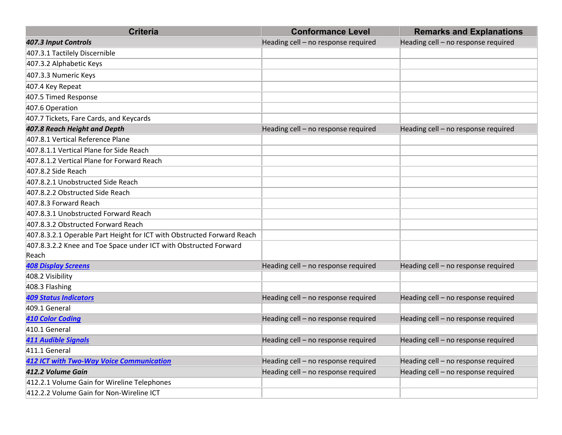| <b>Criteria</b>                                                        | <b>Conformance Level</b>            | <b>Remarks and Explanations</b>     |
|------------------------------------------------------------------------|-------------------------------------|-------------------------------------|
| 407.3 Input Controls                                                   | Heading cell - no response required | Heading cell - no response required |
| 407.3.1 Tactilely Discernible                                          |                                     |                                     |
| 407.3.2 Alphabetic Keys                                                |                                     |                                     |
| 407.3.3 Numeric Keys                                                   |                                     |                                     |
| 407.4 Key Repeat                                                       |                                     |                                     |
| 407.5 Timed Response                                                   |                                     |                                     |
| 407.6 Operation                                                        |                                     |                                     |
| 407.7 Tickets, Fare Cards, and Keycards                                |                                     |                                     |
| 407.8 Reach Height and Depth                                           | Heading cell - no response required | Heading cell - no response required |
| 407.8.1 Vertical Reference Plane                                       |                                     |                                     |
| 407.8.1.1 Vertical Plane for Side Reach                                |                                     |                                     |
| 407.8.1.2 Vertical Plane for Forward Reach                             |                                     |                                     |
| 407.8.2 Side Reach                                                     |                                     |                                     |
| 407.8.2.1 Unobstructed Side Reach                                      |                                     |                                     |
| 407.8.2.2 Obstructed Side Reach                                        |                                     |                                     |
| 407.8.3 Forward Reach                                                  |                                     |                                     |
| 407.8.3.1 Unobstructed Forward Reach                                   |                                     |                                     |
| 407.8.3.2 Obstructed Forward Reach                                     |                                     |                                     |
| 407.8.3.2.1 Operable Part Height for ICT with Obstructed Forward Reach |                                     |                                     |
| 407.8.3.2.2 Knee and Toe Space under ICT with Obstructed Forward       |                                     |                                     |
| Reach                                                                  |                                     |                                     |
| <b>408 Display Screens</b>                                             | Heading cell - no response required | Heading cell - no response required |
| 408.2 Visibility                                                       |                                     |                                     |
| 408.3 Flashing                                                         |                                     |                                     |
| <b>409 Status Indicators</b>                                           | Heading cell - no response required | Heading cell - no response required |
| 409.1 General                                                          |                                     |                                     |
| <b>410 Color Coding</b>                                                | Heading cell - no response required | Heading cell - no response required |
| 410.1 General                                                          |                                     |                                     |
| <b>411 Audible Signals</b>                                             | Heading cell - no response required | Heading cell - no response required |
| 411.1 General                                                          |                                     |                                     |
| <b>412 ICT with Two-Way Voice Communication</b>                        | Heading cell - no response required | Heading cell - no response required |
| 412.2 Volume Gain                                                      | Heading cell - no response required | Heading cell - no response required |
| 412.2.1 Volume Gain for Wireline Telephones                            |                                     |                                     |
| 412.2.2 Volume Gain for Non-Wireline ICT                               |                                     |                                     |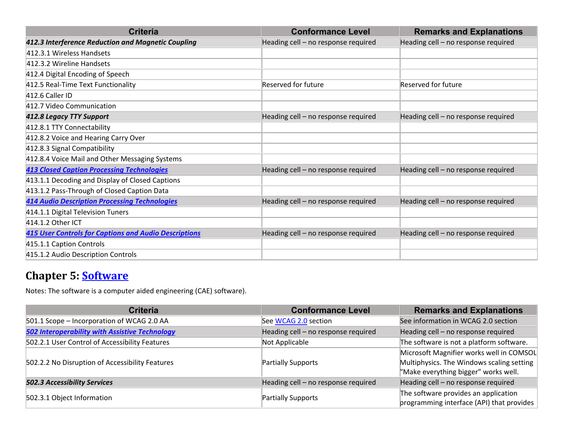| <b>Criteria</b>                                              | <b>Conformance Level</b>            | <b>Remarks and Explanations</b>     |
|--------------------------------------------------------------|-------------------------------------|-------------------------------------|
| 412.3 Interference Reduction and Magnetic Coupling           | Heading cell - no response required | Heading cell - no response required |
| 412.3.1 Wireless Handsets                                    |                                     |                                     |
| 412.3.2 Wireline Handsets                                    |                                     |                                     |
| 412.4 Digital Encoding of Speech                             |                                     |                                     |
| 412.5 Real-Time Text Functionality                           | Reserved for future                 | Reserved for future                 |
| 412.6 Caller ID                                              |                                     |                                     |
| 412.7 Video Communication                                    |                                     |                                     |
| 412.8 Legacy TTY Support                                     | Heading cell - no response required | Heading cell - no response required |
| 412.8.1 TTY Connectability                                   |                                     |                                     |
| 412.8.2 Voice and Hearing Carry Over                         |                                     |                                     |
| 412.8.3 Signal Compatibility                                 |                                     |                                     |
| 412.8.4 Voice Mail and Other Messaging Systems               |                                     |                                     |
| <b>413 Closed Caption Processing Technologies</b>            | Heading cell - no response required | Heading cell - no response required |
| 413.1.1 Decoding and Display of Closed Captions              |                                     |                                     |
| 413.1.2 Pass-Through of Closed Caption Data                  |                                     |                                     |
| <b>414 Audio Description Processing Technologies</b>         | Heading cell - no response required | Heading cell - no response required |
| 414.1.1 Digital Television Tuners                            |                                     |                                     |
| 414.1.2 Other ICT                                            |                                     |                                     |
| <b>415 User Controls for Captions and Audio Descriptions</b> | Heading cell - no response required | Heading cell - no response required |
| 415.1.1 Caption Controls                                     |                                     |                                     |
| 415.1.2 Audio Description Controls                           |                                     |                                     |

### **Chapter 5: Software**

Notes: The software is <sup>a</sup> computer aided engineering (CAE) software).

| <b>Criteria</b>                                       | <b>Conformance Level</b>            | <b>Remarks and Explanations</b>                                                                                               |
|-------------------------------------------------------|-------------------------------------|-------------------------------------------------------------------------------------------------------------------------------|
| 501.1 Scope - Incorporation of WCAG 2.0 AA            | See WCAG 2.0 section                | See information in WCAG 2.0 section                                                                                           |
| <b>502 Interoperability with Assistive Technology</b> | Heading cell - no response required | Heading cell - no response required                                                                                           |
| 502.2.1 User Control of Accessibility Features        | Not Applicable                      | The software is not a platform software.                                                                                      |
| 502.2.2 No Disruption of Accessibility Features       | Partially Supports                  | Microsoft Magnifier works well in COMSOL<br>Multiphysics. The Windows scaling setting<br>"Make everything bigger" works well. |
| <b>502.3 Accessibility Services</b>                   | Heading cell - no response required | Heading cell - no response required                                                                                           |
| 502.3.1 Object Information                            | Partially Supports                  | The software provides an application<br>programming interface (API) that provides                                             |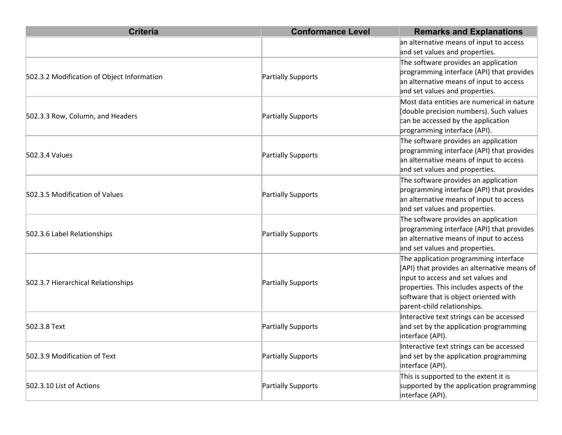| <b>Criteria</b>                            | <b>Conformance Level</b> | <b>Remarks and Explanations</b>                                                                                                                                                                                                                |
|--------------------------------------------|--------------------------|------------------------------------------------------------------------------------------------------------------------------------------------------------------------------------------------------------------------------------------------|
|                                            |                          | an alternative means of input to access<br>and set values and properties.                                                                                                                                                                      |
| 502.3.2 Modification of Object Information | Partially Supports       | The software provides an application<br>programming interface (API) that provides<br>an alternative means of input to access<br>and set values and properties.                                                                                 |
| 502.3.3 Row, Column, and Headers           | Partially Supports       | Most data entities are numerical in nature<br>double precision numbers). Such values<br>can be accessed by the application<br>programming interface (API).                                                                                     |
| 502.3.4 Values                             | Partially Supports       | The software provides an application<br>programming interface (API) that provides<br>an alternative means of input to access<br>and set values and properties.                                                                                 |
| 502.3.5 Modification of Values             | Partially Supports       | The software provides an application<br>programming interface (API) that provides<br>an alternative means of input to access<br>and set values and properties.                                                                                 |
| 502.3.6 Label Relationships                | Partially Supports       | The software provides an application<br>programming interface (API) that provides<br>an alternative means of input to access<br>and set values and properties.                                                                                 |
| 502.3.7 Hierarchical Relationships         | Partially Supports       | The application programming interface<br>(API) that provides an alternative means of<br>input to access and set values and<br>properties. This includes aspects of the<br>software that is object oriented with<br>parent-child relationships. |
| 502.3.8 Text                               | Partially Supports       | Interactive text strings can be accessed<br>and set by the application programming<br>interface (API).                                                                                                                                         |
| 502.3.9 Modification of Text               | Partially Supports       | Interactive text strings can be accessed<br>and set by the application programming<br>interface (API).                                                                                                                                         |
| 502.3.10 List of Actions                   | Partially Supports       | This is supported to the extent it is<br>supported by the application programming<br>interface (API).                                                                                                                                          |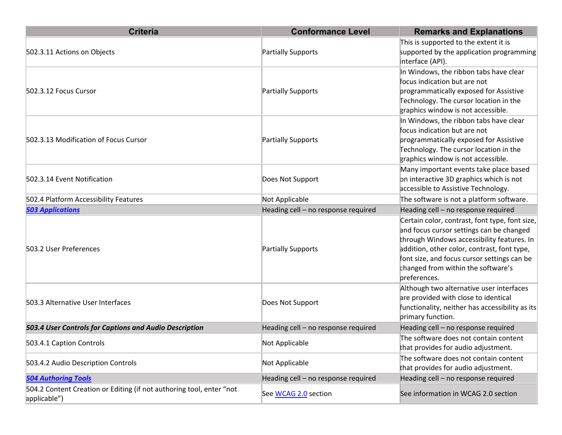| <b>Criteria</b>                                                                      | <b>Conformance Level</b>            | <b>Remarks and Explanations</b>                                                                                                                                                                                                                                                              |
|--------------------------------------------------------------------------------------|-------------------------------------|----------------------------------------------------------------------------------------------------------------------------------------------------------------------------------------------------------------------------------------------------------------------------------------------|
| 502.3.11 Actions on Objects                                                          | Partially Supports                  | This is supported to the extent it is<br>supported by the application programming<br>interface (API).                                                                                                                                                                                        |
| 502.3.12 Focus Cursor                                                                | Partially Supports                  | In Windows, the ribbon tabs have clear<br>focus indication but are not<br>programmatically exposed for Assistive<br>Technology. The cursor location in the<br>graphics window is not accessible.                                                                                             |
| 502.3.13 Modification of Focus Cursor                                                | Partially Supports                  | In Windows, the ribbon tabs have clear<br>focus indication but are not<br>programmatically exposed for Assistive<br>Technology. The cursor location in the<br>graphics window is not accessible.                                                                                             |
| 502.3.14 Event Notification                                                          | Does Not Support                    | Many important events take place based<br>on interactive 3D graphics which is not<br>accessible to Assistive Technology.                                                                                                                                                                     |
| 502.4 Platform Accessibility Features                                                | Not Applicable                      | The software is not a platform software.                                                                                                                                                                                                                                                     |
| <b>503 Applications</b>                                                              | Heading cell - no response required | Heading cell - no response required                                                                                                                                                                                                                                                          |
| 503.2 User Preferences                                                               | Partially Supports                  | Certain color, contrast, font type, font size,<br>and focus cursor settings can be changed<br>through Windows accessibility features. In<br>addition, other color, contrast, font type,<br>font size, and focus cursor settings can be<br>changed from within the software's<br>preferences. |
| 503.3 Alternative User Interfaces                                                    | Does Not Support                    | Although two alternative user interfaces<br>are provided with close to identical<br>functionality, neither has accessibility as its<br>primary function.                                                                                                                                     |
| 503.4 User Controls for Captions and Audio Description                               | Heading cell - no response required | Heading cell - no response required                                                                                                                                                                                                                                                          |
| 503.4.1 Caption Controls                                                             | Not Applicable                      | The software does not contain content<br>that provides for audio adjustment.                                                                                                                                                                                                                 |
| 503.4.2 Audio Description Controls                                                   | Not Applicable                      | The software does not contain content<br>that provides for audio adjustment.                                                                                                                                                                                                                 |
| <b>504 Authoring Tools</b>                                                           | Heading cell - no response required | Heading cell - no response required                                                                                                                                                                                                                                                          |
| 504.2 Content Creation or Editing (if not authoring tool, enter "not<br>applicable") | See WCAG 2.0 section                | See information in WCAG 2.0 section                                                                                                                                                                                                                                                          |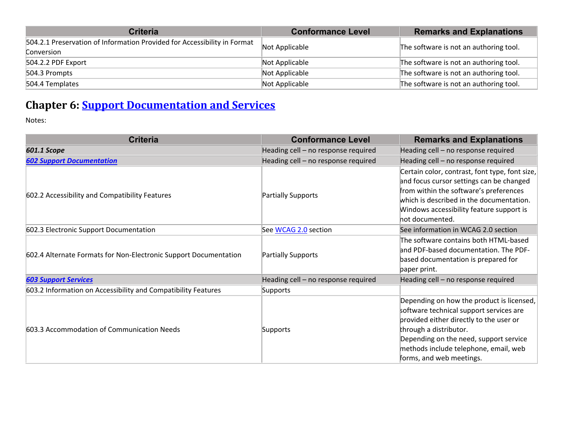| <b>Criteria</b>                                                          | <b>Conformance Level</b> | <b>Remarks and Explanations</b>        |
|--------------------------------------------------------------------------|--------------------------|----------------------------------------|
| 504.2.1 Preservation of Information Provided for Accessibility in Format | Not Applicable           | The software is not an authoring tool. |
| Conversion                                                               |                          |                                        |
| 504.2.2 PDF Export                                                       | Not Applicable           | The software is not an authoring tool. |
| 504.3 Prompts                                                            | Not Applicable           | The software is not an authoring tool. |
| 504.4 Templates                                                          | Not Applicable           | The software is not an authoring tool. |

### **Chapter 6: Support Documentation and Services**

Notes:

| <b>Criteria</b>                                                  | <b>Conformance Level</b>            | <b>Remarks and Explanations</b>                                                                                                                                                                                                                                          |
|------------------------------------------------------------------|-------------------------------------|--------------------------------------------------------------------------------------------------------------------------------------------------------------------------------------------------------------------------------------------------------------------------|
| 601.1 Scope                                                      | Heading cell - no response required | Heading cell - no response required                                                                                                                                                                                                                                      |
| <b>602 Support Documentation</b>                                 | Heading cell - no response required | Heading cell - no response required                                                                                                                                                                                                                                      |
| 602.2 Accessibility and Compatibility Features                   | Partially Supports                  | Certain color, contrast, font type, font size,<br>and focus cursor settings can be changed<br>from within the software's preferences<br>which is described in the documentation.<br>Windows accessibility feature support is<br>hot documented.                          |
| 602.3 Electronic Support Documentation                           | See WCAG 2.0 section                | See information in WCAG 2.0 section                                                                                                                                                                                                                                      |
| 602.4 Alternate Formats for Non-Electronic Support Documentation | Partially Supports                  | The software contains both HTML-based<br>and PDF-based documentation. The PDF-<br>based documentation is prepared for<br>paper print.                                                                                                                                    |
| <b>603 Support Services</b>                                      | Heading cell - no response required | Heading cell - no response required                                                                                                                                                                                                                                      |
| 603.2 Information on Accessibility and Compatibility Features    | Supports                            |                                                                                                                                                                                                                                                                          |
| 603.3 Accommodation of Communication Needs                       | Supports                            | Depending on how the product is licensed,<br>software technical support services are<br>provided either directly to the user or<br>through a distributor.<br>Depending on the need, support service<br>methods include telephone, email, web<br>forms, and web meetings. |